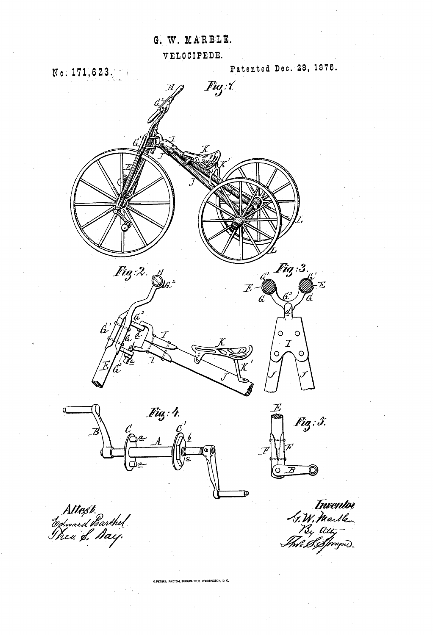G. W. MARBLE.

VELOCIPEDE.



N. PETERS, PHOTO-LITHOGRAPHER, WASHINGTON, D. C.